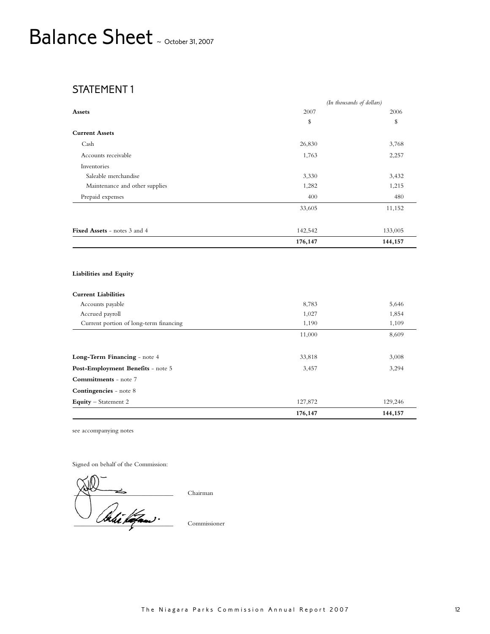## Balance Sheet ~ October 31, 2007

### STATEMENT 1

|                                     | (In thousands of dollars) |         |  |
|-------------------------------------|---------------------------|---------|--|
| Assets                              | 2007                      | 2006    |  |
|                                     | \$                        | \$      |  |
| <b>Current Assets</b>               |                           |         |  |
| Cash                                | 26,830                    | 3,768   |  |
| Accounts receivable                 | 1,763                     | 2,257   |  |
| Inventories                         |                           |         |  |
| Saleable merchandise                | 3,330                     | 3,432   |  |
| Maintenance and other supplies      | 1,282                     | 1,215   |  |
| Prepaid expenses                    | 400                       | 480     |  |
|                                     | 33,605                    | 11,152  |  |
|                                     |                           |         |  |
| <b>Fixed Assets</b> - notes 3 and 4 | 142,542                   | 133,005 |  |
|                                     | 176,147                   | 144,157 |  |

#### **Liabilities and Equity**

|                                        | 176,147 | 144,157 |
|----------------------------------------|---------|---------|
| <b>Equity</b> – Statement 2            | 127,872 | 129,246 |
| <b>Contingencies</b> - note 8          |         |         |
| <b>Commitments</b> - note 7            |         |         |
| Post-Employment Benefits - note 5      | 3,457   | 3,294   |
| Long-Term Financing - note 4           | 33,818  | 3,008   |
|                                        |         |         |
|                                        | 11,000  | 8,609   |
| Current portion of long-term financing | 1,190   | 1,109   |
| Accrued payroll                        | 1,027   | 1,854   |
| Accounts payable                       | 8,783   | 5,646   |
| <b>Current Liabilities</b>             |         |         |

see accompanying notes

Signed on behalf of the Commission:

 $\Delta^2$   $\rightarrow$  $\overline{\phantom{a}}$ 

Chairman

Commissioner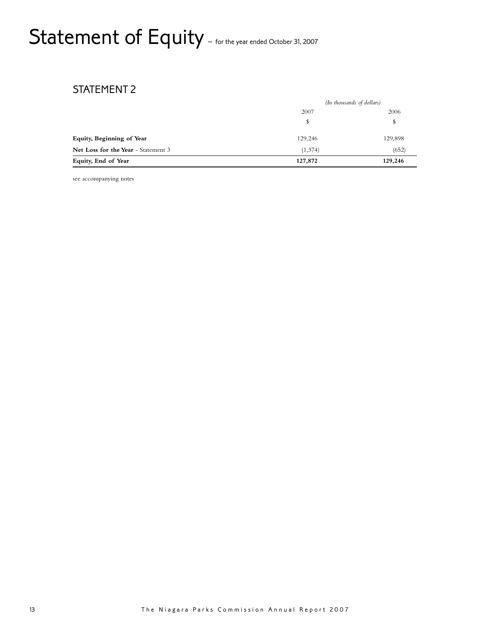## Statement of Equity ~ for the year ended October 31, 2007

### STATEMENT 2

|                                     |         | (In thousands of dollars) |  |
|-------------------------------------|---------|---------------------------|--|
|                                     | 2007    | 2006                      |  |
|                                     |         | \$                        |  |
| Equity, Beginning of Year           | 129,246 | 129,898                   |  |
| Net Loss for the Year - Statement 3 | (1,374) | (652)                     |  |
| Equity, End of Year                 | 127,872 | 129,246                   |  |

see accompanying notes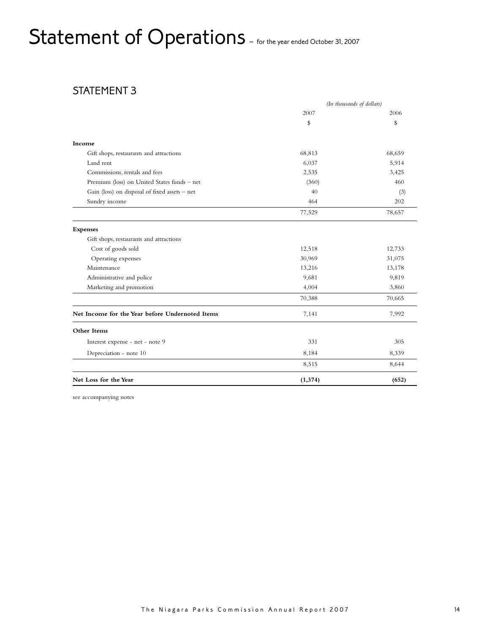# Statement of Operations  $\sim$  for the year ended October 31, 2007

### STATEMENT 3

| 2007<br>\$ | 2006   |
|------------|--------|
|            |        |
|            | \$     |
|            |        |
| 68,813     | 68,659 |
| 6,037      | 5,914  |
| 2,535      | 3,425  |
| (360)      | 460    |
| 40         | (3)    |
| 464        | 202    |
| 77,529     | 78,657 |
|            |        |
|            |        |
| 12,518     | 12,733 |
| 30,969     | 31,075 |
| 13,216     | 13,178 |
| 9,681      | 9,819  |
| 4,004      | 3,860  |
| 70,388     | 70,665 |
| 7,141      | 7,992  |
|            |        |
| 331        | 305    |
| 8,184      | 8,339  |
| 8,515      | 8,644  |
| (1, 374)   | (652)  |
|            |        |

see accompanying notes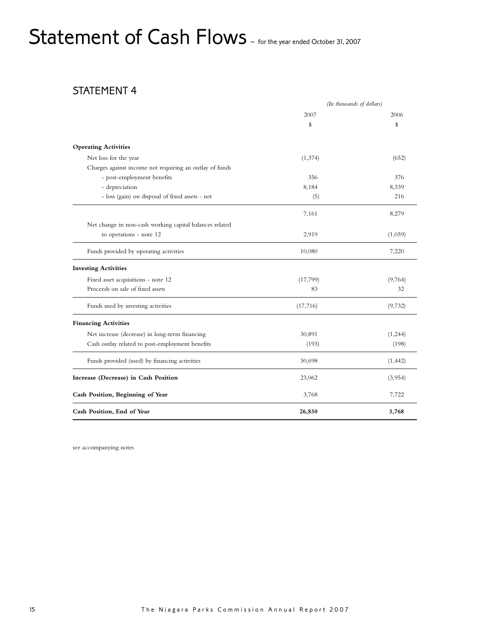## Statement of Cash Flows ~ for the year ended October 31, 2007

### STATEMENT 4

|                                                         | (In thousands of dollars) |          |
|---------------------------------------------------------|---------------------------|----------|
|                                                         | 2007                      | 2006     |
|                                                         | \$                        | \$       |
| <b>Operating Activities</b>                             |                           |          |
| Net loss for the year                                   | (1, 374)                  | (652)    |
| Charges against income not requiring an outlay of funds |                           |          |
| - post-employment benefits                              | 356                       | 376      |
| - depreciation                                          | 8,184                     | 8,339    |
| - loss (gain) on disposal of fixed assets - net         | (5)                       | 216      |
|                                                         | 7,161                     | 8,279    |
| Net change in non-cash working capital balances related |                           |          |
| to operations - note 12                                 | 2,919                     | (1,059)  |
| Funds provided by operating activities                  | 10,080                    | 7,220    |
| <b>Investing Activities</b>                             |                           |          |
| Fixed asset acquisitions - note 12                      | (17, 799)                 | (9,764)  |
| Proceeds on sale of fixed assets                        | 83                        | 32       |
| Funds used by investing activities                      | (17,716)                  | (9,732)  |
| <b>Financing Activities</b>                             |                           |          |
| Net increase (decrease) in long-term financing          | 30,891                    | (1, 244) |
| Cash outlay related to post-employment benefits         | (193)                     | (198)    |
| Funds provided (used) by financing activities           | 30,698                    | (1, 442) |
| Increase (Decrease) in Cash Position                    | 23,062                    | (3,954)  |
| Cash Position, Beginning of Year                        | 3,768                     | 7,722    |
| Cash Position, End of Year                              | 26,830                    | 3,768    |

see accompanying notes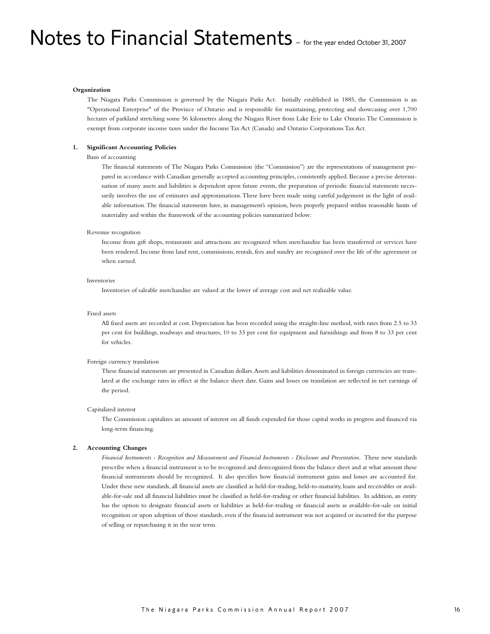## Notes to Financial Statements  $\sim$  for the year ended October 31, 2007

#### **Organization**

The Niagara Parks Commission is governed by the Niagara Parks Act. Initially established in 1885, the Commission is an "Operational Enterprise" of the Province of Ontario and is responsible for maintaining, protecting and showcasing over 1,700 hectares of parkland stretching some 56 kilometres along the Niagara River from Lake Erie to Lake Ontario.The Commission is exempt from corporate income taxes under the Income Tax Act (Canada) and Ontario Corporations Tax Act.

#### **1. Significant Accounting Policies**

#### Basis of accounting

The financial statements of The Niagara Parks Commission (the "Commission") are the representations of management prepared in accordance with Canadian generally accepted accounting principles, consistently applied. Because a precise determination of many assets and liabilities is dependent upon future events, the preparation of periodic financial statements necessarily involves the use of estimates and approximations.These have been made using careful judgement in the light of available information.The financial statements have, in management's opinion, been properly prepared within reasonable limits of materiality and within the framework of the accounting policies summarized below:

#### Revenue recognition

Income from gift shops, restaurants and attractions are recognized when merchandise has been transferred or services have been rendered. Income from land rent, commissions, rentals, fees and sundry are recognized over the life of the agreement or when earned.

#### Inventories

Inventories of saleable merchandise are valued at the lower of average cost and net realizable value.

#### Fixed assets

All fixed assets are recorded at cost. Depreciation has been recorded using the straight-line method, with rates from 2.5 to 33 per cent for buildings, roadways and structures, 10 to 33 per cent for equipment and furnishings and from 8 to 33 per cent for vehicles.

#### Foreign currency translation

These financial statements are presented in Canadian dollars.Assets and liabilities denominated in foreign currencies are translated at the exchange rates in effect at the balance sheet date. Gains and losses on translation are reflected in net earnings of the period.

#### Capitalized interest

The Commission capitalizes an amount of interest on all funds expended for those capital works in progress and financed via long-term financing.

#### **2. Accounting Changes**

Financial Instruments - Recognition and Measurement and Financial Instruments - Disclosure and Presentation. These new standards prescribe when a financial instrument is to be recognized and derecognized from the balance sheet and at what amount these financial instruments should be recognized. It also specifies how financial instrument gains and losses are accounted for. Under these new standards, all financial assets are classified as held-for-trading, held-to-maturity, loans and receivables or available-for-sale and all financial liabilities must be classified as held-for-trading or other financial liabilities. In addition, an entity has the option to designate financial assets or liabilities as held-for-trading or financial assets as available-for-sale on initial recognition or upon adoption of those standards, even if the financial instrument was not acquired or incurred for the purpose of selling or repurchasing it in the near term.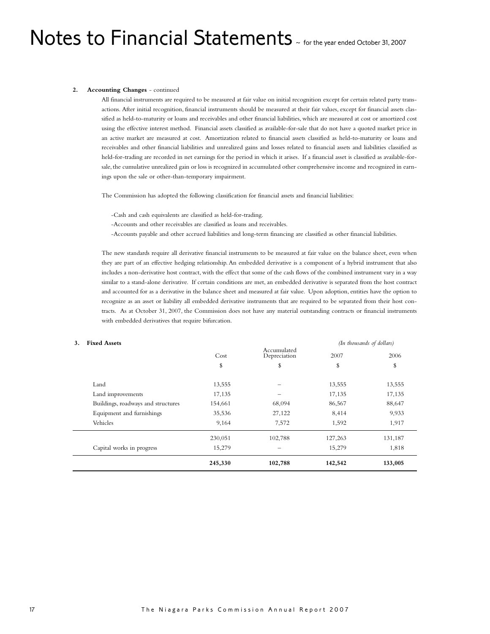## Notes to Financial Statements  $\sim$  for the year ended October 31, 2007

#### **2. Accounting Changes** - continued

All financial instruments are required to be measured at fair value on initial recognition except for certain related party transactions. After initial recognition, financial instruments should be measured at their fair values, except for financial assets classified as held-to-maturity or loans and receivables and other financial liabilities, which are measured at cost or amortized cost using the effective interest method. Financial assets classified as available-for-sale that do not have a quoted market price in an active market are measured at cost. Amortization related to financial assets classified as held-to-maturity or loans and receivables and other financial liabilities and unrealized gains and losses related to financial assets and liabilities classified as held-for-trading are recorded in net earnings for the period in which it arises. If a financial asset is classified as available-forsale, the cumulative unrealized gain or loss is recognized in accumulated other comprehensive income and recognized in earnings upon the sale or other-than-temporary impairment.

The Commission has adopted the following classification for financial assets and financial liabilities:

- -Cash and cash equivalents are classified as held-for-trading.
- -Accounts and other receivables are classified as loans and receivables.
- -Accounts payable and other accrued liabilities and long-term financing are classified as other financial liabilities.

The new standards require all derivative financial instruments to be measured at fair value on the balance sheet, even when they are part of an effective hedging relationship. An embedded derivative is a component of a hybrid instrument that also includes a non-derivative host contract, with the effect that some of the cash flows of the combined instrument vary in a way similar to a stand-alone derivative. If certain conditions are met, an embedded derivative is separated from the host contract and accounted for as a derivative in the balance sheet and measured at fair value. Upon adoption, entities have the option to recognize as an asset or liability all embedded derivative instruments that are required to be separated from their host contracts. As at October 31, 2007, the Commission does not have any material outstanding contracts or financial instruments with embedded derivatives that require bifurcation.

#### **3. Fixed Assets** *(In thousands of dollars)*

|                                    | Cost    | Accumulated<br>Depreciation | 2007    | 2006    |
|------------------------------------|---------|-----------------------------|---------|---------|
|                                    | \$      | \$                          | \$      | \$      |
| Land                               | 13,555  |                             | 13,555  | 13,555  |
| Land improvements                  | 17,135  |                             | 17,135  | 17,135  |
| Buildings, roadways and structures | 154,661 | 68,094                      | 86,567  | 88,647  |
| Equipment and furnishings          | 35,536  | 27,122                      | 8,414   | 9,933   |
| Vehicles                           | 9,164   | 7,572                       | 1,592   | 1,917   |
|                                    | 230,051 | 102,788                     | 127,263 | 131,187 |
| Capital works in progress          | 15,279  |                             | 15,279  | 1,818   |
|                                    | 245,330 | 102,788                     | 142,542 | 133,005 |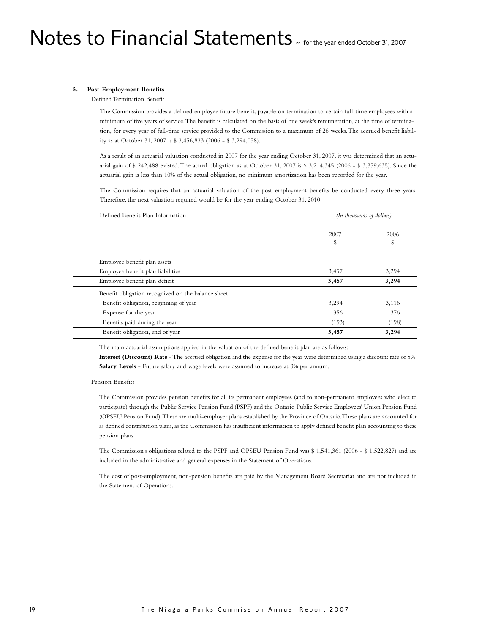#### **5. Post-Employment Benefits**

Defined Termination Benefit

The Commission provides a defined employee future benefit, payable on termination to certain full-time employees with a minimum of five years of service.The benefit is calculated on the basis of one week's remuneration, at the time of termination, for every year of full-time service provided to the Commission to a maximum of 26 weeks.The accrued benefit liability as at October 31, 2007 is \$ 3,456,833 (2006 - \$ 3,294,058).

As a result of an actuarial valuation conducted in 2007 for the year ending October 31, 2007, it was determined that an actuarial gain of \$ 242,488 existed. The actual obligation as at October 31, 2007 is \$ 3,214,345 (2006 - \$ 3,359,635). Since the actuarial gain is less than 10% of the actual obligation, no minimum amortization has been recorded for the year.

The Commission requires that an actuarial valuation of the post employment benefits be conducted every three years. Therefore, the next valuation required would be for the year ending October 31, 2010.

| Defined Benefit Plan Information                   | (In thousands of dollars) |       |
|----------------------------------------------------|---------------------------|-------|
|                                                    | 2007                      | 2006  |
|                                                    | \$                        | \$    |
| Employee benefit plan assets                       |                           |       |
| Employee benefit plan liabilities                  | 3,457                     | 3,294 |
| Employee benefit plan deficit                      | 3,457                     | 3,294 |
| Benefit obligation recognized on the balance sheet |                           |       |
| Benefit obligation, beginning of year              | 3,294                     | 3,116 |
| Expense for the year                               | 356                       | 376   |
| Benefits paid during the year                      | (193)                     | (198) |
| Benefit obligation, end of year                    | 3,457                     | 3,294 |

The main actuarial assumptions applied in the valuation of the defined benefit plan are as follows:

**Interest (Discount) Rate** -The accrued obligation and the expense for the year were determined using a discount rate of 5%. **Salary Levels** - Future salary and wage levels were assumed to increase at 3% per annum.

#### Pension Benefits

The Commission provides pension benefits for all its permanent employees (and to non-permanent employees who elect to participate) through the Public Service Pension Fund (PSPF) and the Ontario Public Service Employees' Union Pension Fund (OPSEU Pension Fund). These are multi-employer plans established by the Province of Ontario. These plans are accounted for as defined contribution plans, as the Commission has insufficient information to apply defined benefit plan accounting to these pension plans.

The Commission's obligations related to the PSPF and OPSEU Pension Fund was \$ 1,541,361 (2006 - \$ 1,522,827 and are included in the administrative and general expenses in the Statement of Operations.

The cost of post-employment, non-pension benefits are paid by the Management Board Secretariat and are not included in the Statement of Operations.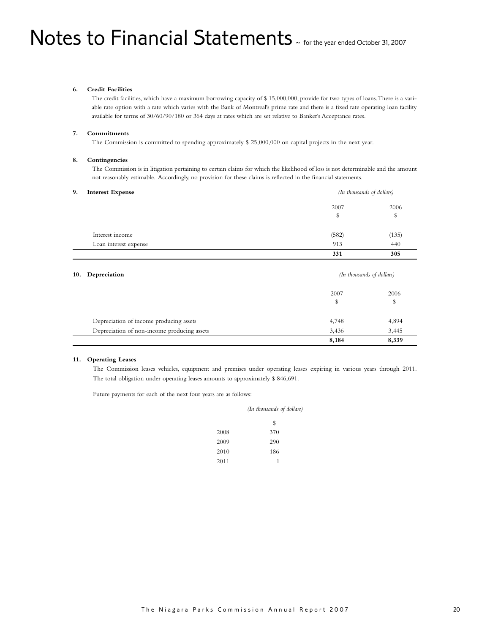#### **6. Credit Facilities**

The credit facilities, which have a maximum borrowing capacity of \$ 15,000,000, provide for two types of loans.There is a variable rate option with a rate which varies with the Bank of Montreal's prime rate and there is a fixed rate operating loan facility available for terms of 30/60/90/180 or 364 days at rates which are set relative to Banker's Acceptance rates.

#### **7. Commitments**

The Commission is committed to spending approximately \$ 25,000,000 on capital projects in the next year.

#### **8. Contingencies**

The Commission is in litigation pertaining to certain claims for which the likelihood of loss is not determinable and the amount not reasonably estimable. Accordingly, no provision for these claims is reflected in the financial statements.

### **9. Interest Expense** *(In thousands of dollars)*

| $\overline{\phantom{a}}$ |       | $\sim$ |  |
|--------------------------|-------|--------|--|
|                          | 2007  | 2006   |  |
|                          | ۰D    | \$     |  |
| Interest income          | (582) | (135)  |  |
| Loan interest expense    | 913   | 440    |  |
|                          | 331   | 305    |  |

| 10. | Depreciation                                | (In thousands of dollars) |       |
|-----|---------------------------------------------|---------------------------|-------|
|     |                                             | 2007                      | 2006  |
|     |                                             | \$                        | \$    |
|     | Depreciation of income producing assets     | 4,748                     | 4,894 |
|     | Depreciation of non-income producing assets | 3,436                     | 3,445 |
|     |                                             | 8,184                     | 8,339 |

#### **11. Operating Leases**

The Commission leases vehicles, equipment and premises under operating leases expiring in various years through 2011. The total obligation under operating leases amounts to approximately \$ 846,691.

Future payments for each of the next four years are as follows:

|      | (In thousands of dollars) |  |
|------|---------------------------|--|
|      | \$                        |  |
| 2008 | 370                       |  |
| 2009 | 290                       |  |
| 2010 | 186                       |  |
| 2011 | 1                         |  |
|      |                           |  |